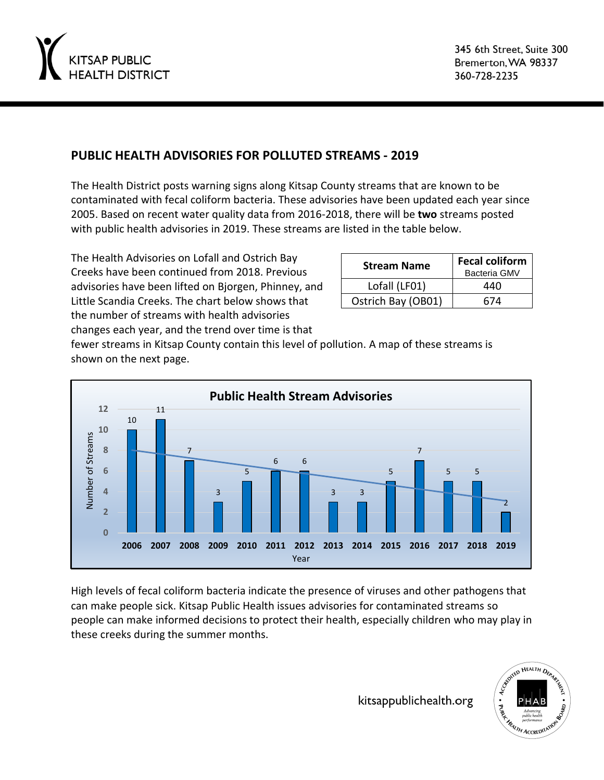

## **PUBLIC HEALTH ADVISORIES FOR POLLUTED STREAMS - 2019**

The Health District posts warning signs along Kitsap County streams that are known to be contaminated with fecal coliform bacteria. These advisories have been updated each year since 2005. Based on recent water quality data from 2016-2018, there will be **two** streams posted with public health advisories in 2019. These streams are listed in the table below.

The Health Advisories on Lofall and Ostrich Bay Creeks have been continued from 2018. Previous advisories have been lifted on Bjorgen, Phinney, and Little Scandia Creeks. The chart below shows that the number of streams with health advisories

| <b>Stream Name</b> | <b>Fecal coliform</b><br><b>Bacteria GMV</b> |
|--------------------|----------------------------------------------|
| Lofall (LF01)      | 440                                          |
| Ostrich Bay (OB01) | 674                                          |

changes each year, and the trend over time is that

fewer streams in Kitsap County contain this level of pollution. A map of these streams is shown on the next page.



High levels of fecal coliform bacteria indicate the presence of viruses and other pathogens that can make people sick. Kitsap Public Health issues advisories for contaminated streams so people can make informed decisions to protect their health, especially children who may play in these creeks during the summer months.

kitsappublichealth.org